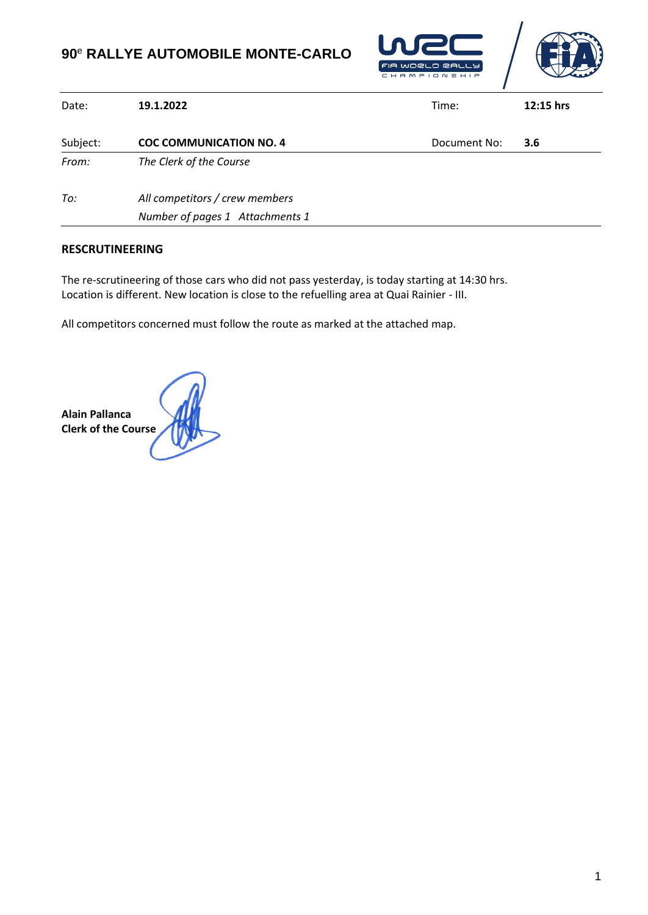## **90**<sup>e</sup> **RALLYE AUTOMOBILE MONTE-CARLO**



| 19.1.2022                      | Time:                           | 12:15 hrs |
|--------------------------------|---------------------------------|-----------|
| <b>COC COMMUNICATION NO. 4</b> | Document No:                    | 3.6       |
| The Clerk of the Course        |                                 |           |
| All competitors / crew members |                                 |           |
|                                | Number of pages 1 Attachments 1 |           |

## **RESCRUTINEERING**

The re-scrutineering of those cars who did not pass yesterday, is today starting at 14:30 hrs. Location is different. New location is close to the refuelling area at Quai Rainier - III.

All competitors concerned must follow the route as marked at the attached map.

**Alain Pallanca Clerk of the Course**